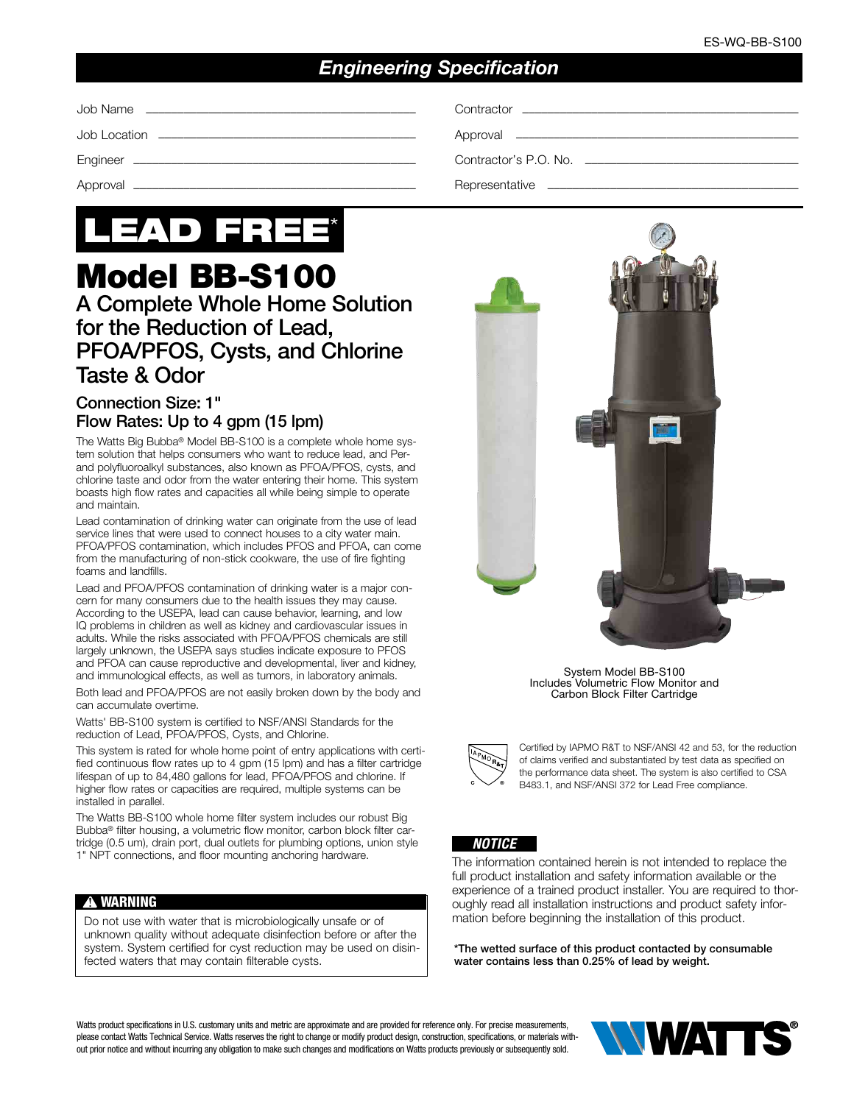## *Engineering Specification*

| Contractor's P.O. No. ___________________________ |
|---------------------------------------------------|
|                                                   |



# Model BB-S100 A Complete Whole Home Solution for the Reduction of Lead,

## PFOA/PFOS, Cysts, and Chlorine Taste & Odor

### Connection Size: 1" Flow Rates: Up to 4 gpm (15 lpm)

The Watts Big Bubba® Model BB-S100 is a complete whole home system solution that helps consumers who want to reduce lead, and Perand polyfluoroalkyl substances, also known as PFOA/PFOS, cysts, and chlorine taste and odor from the water entering their home. This system boasts high flow rates and capacities all while being simple to operate and maintain.

Lead contamination of drinking water can originate from the use of lead service lines that were used to connect houses to a city water main. PFOA/PFOS contamination, which includes PFOS and PFOA, can come from the manufacturing of non-stick cookware, the use of fire fighting foams and landfills.

Lead and PFOA/PFOS contamination of drinking water is a major concern for many consumers due to the health issues they may cause. According to the USEPA, lead can cause behavior, learning, and low IQ problems in children as well as kidney and cardiovascular issues in adults. While the risks associated with PFOA/PFOS chemicals are still largely unknown, the USEPA says studies indicate exposure to PFOS and PFOA can cause reproductive and developmental, liver and kidney, and immunological effects, as well as tumors, in laboratory animals.

Both lead and PFOA/PFOS are not easily broken down by the body and can accumulate overtime.

Watts' BB-S100 system is certified to NSF/ANSI Standards for the reduction of Lead, PFOA/PFOS, Cysts, and Chlorine.

This system is rated for whole home point of entry applications with certified continuous flow rates up to 4 gpm (15 lpm) and has a filter cartridge lifespan of up to 84,480 gallons for lead, PFOA/PFOS and chlorine. If higher flow rates or capacities are required, multiple systems can be installed in parallel.

The Watts BB-S100 whole home filter system includes our robust Big Bubba® filter housing, a volumetric flow monitor, carbon block filter cartridge (0.5 um), drain port, dual outlets for plumbing options, union style 1" NPT connections, and floor mounting anchoring hardware.

#### **!** WARNING

Do not use with water that is microbiologically unsafe or of unknown quality without adequate disinfection before or after the system. System certified for cyst reduction may be used on disinfected waters that may contain filterable cysts.



System Model BB-S100 Includes Volumetric Flow Monitor and Carbon Block Filter Cartridge



Certified by IAPMO R&T to NSF/ANSI 42 and 53, for the reduction of claims verified and substantiated by test data as specified on the performance data sheet. The system is also certified to CSA B483.1, and NSF/ANSI 372 for Lead Free compliance.



The information contained herein is not intended to replace the full product installation and safety information available or the experience of a trained product installer. You are required to thoroughly read all installation instructions and product safety information before beginning the installation of this product.

\*The wetted surface of this product contacted by consumable water contains less than 0.25% of lead by weight.

Watts product specifications in U.S. customary units and metric are approximate and are provided for reference only. For precise measurements, please contact Watts Technical Service. Watts reserves the right to change or modify product design, construction, specifications, or materials without prior notice and without incurring any obligation to make such changes and modifications on Watts products previously or subsequently sold.

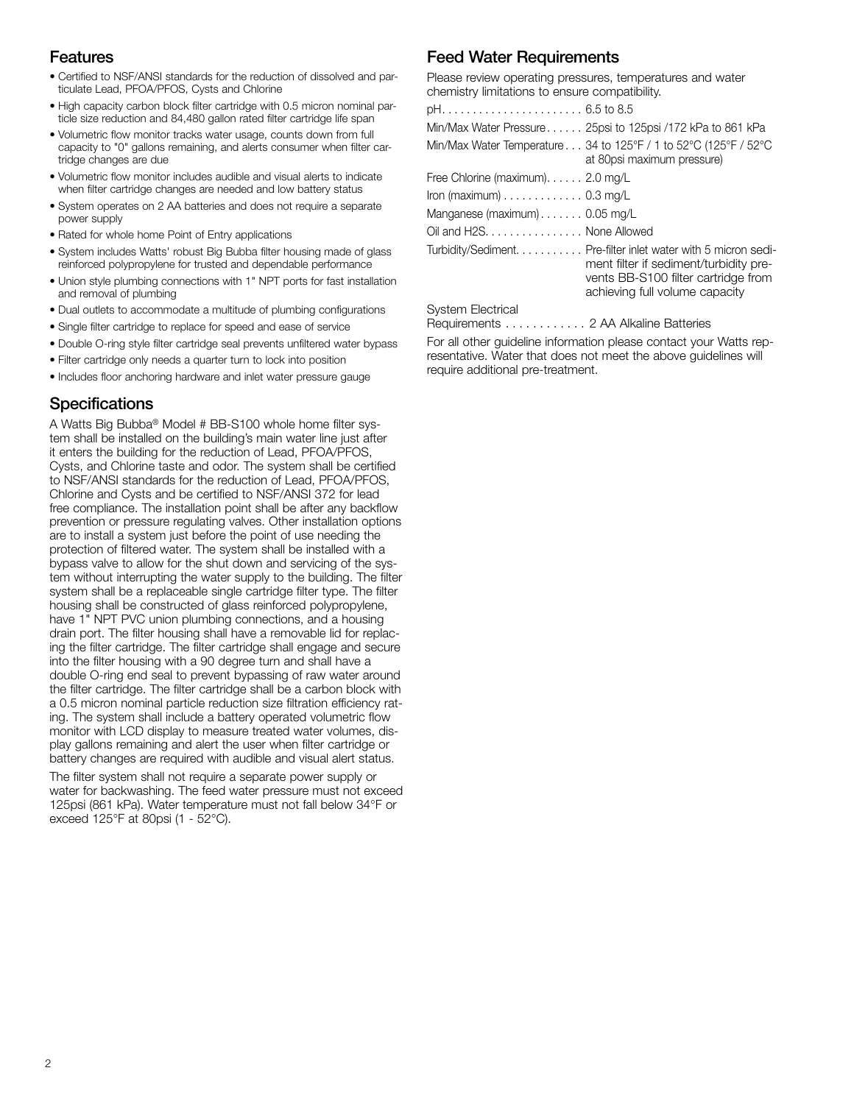## Features

- Certified to NSF/ANSI standards for the reduction of dissolved and particulate Lead, PFOA/PFOS, Cysts and Chlorine
- High capacity carbon block filter cartridge with 0.5 micron nominal particle size reduction and 84,480 gallon rated filter cartridge life span
- Volumetric flow monitor tracks water usage, counts down from full capacity to "0" gallons remaining, and alerts consumer when filter cartridge changes are due
- Volumetric flow monitor includes audible and visual alerts to indicate when filter cartridge changes are needed and low battery status
- System operates on 2 AA batteries and does not require a separate power supply
- Rated for whole home Point of Entry applications
- System includes Watts' robust Big Bubba filter housing made of glass reinforced polypropylene for trusted and dependable performance
- Union style plumbing connections with 1" NPT ports for fast installation and removal of plumbing
- Dual outlets to accommodate a multitude of plumbing configurations
- Single filter cartridge to replace for speed and ease of service
- Double O-ring style filter cartridge seal prevents unfiltered water bypass
- Filter cartridge only needs a quarter turn to lock into position
- Includes floor anchoring hardware and inlet water pressure gauge

## **Specifications**

A Watts Big Bubba® Model # BB-S100 whole home filter system shall be installed on the building's main water line just after it enters the building for the reduction of Lead, PFOA/PFOS, Cysts, and Chlorine taste and odor. The system shall be certified to NSF/ANSI standards for the reduction of Lead, PFOA/PFOS, Chlorine and Cysts and be certified to NSF/ANSI 372 for lead free compliance. The installation point shall be after any backflow prevention or pressure regulating valves. Other installation options are to install a system just before the point of use needing the protection of filtered water. The system shall be installed with a bypass valve to allow for the shut down and servicing of the system without interrupting the water supply to the building. The filter system shall be a replaceable single cartridge filter type. The filter housing shall be constructed of glass reinforced polypropylene, have 1" NPT PVC union plumbing connections, and a housing drain port. The filter housing shall have a removable lid for replacing the filter cartridge. The filter cartridge shall engage and secure into the filter housing with a 90 degree turn and shall have a double O-ring end seal to prevent bypassing of raw water around the filter cartridge. The filter cartridge shall be a carbon block with a 0.5 micron nominal particle reduction size filtration efficiency rating. The system shall include a battery operated volumetric flow monitor with LCD display to measure treated water volumes, display gallons remaining and alert the user when filter cartridge or battery changes are required with audible and visual alert status.

The filter system shall not require a separate power supply or water for backwashing. The feed water pressure must not exceed 125psi (861 kPa). Water temperature must not fall below 34°F or exceed 125°F at 80psi (1 - 52°C).

## Feed Water Requirements

Please review operating pressures, temperatures and water chemistry limitations to ensure compatibility.

|                                                       | Min/Max Water Pressure 25psi to 125psi /172 kPa to 861 kPa                                                                                                                        |
|-------------------------------------------------------|-----------------------------------------------------------------------------------------------------------------------------------------------------------------------------------|
|                                                       | Min/Max Water Temperature 34 to 125°F / 1 to 52°C (125°F / 52°C<br>at 80psi maximum pressure)                                                                                     |
| Free Chlorine (maximum). $\ldots$ . 2.0 mg/L          |                                                                                                                                                                                   |
| Iron (maximum) $\ldots \ldots \ldots \ldots$ 0.3 mg/L |                                                                                                                                                                                   |
| Manganese (maximum) 0.05 mg/L                         |                                                                                                                                                                                   |
| Oil and H2S. None Allowed                             |                                                                                                                                                                                   |
|                                                       | Turbidity/Sediment. Pre-filter inlet water with 5 micron sedi-<br>ment filter if sediment/turbidity pre-<br>vents BB-S100 filter cartridge from<br>achieving full volume capacity |
| <b>System Electrical</b>                              |                                                                                                                                                                                   |
|                                                       |                                                                                                                                                                                   |

Requirements . . . . . . . . . . . . 2 AA Alkaline Batteries

For all other guideline information please contact your Watts representative. Water that does not meet the above guidelines will require additional pre-treatment.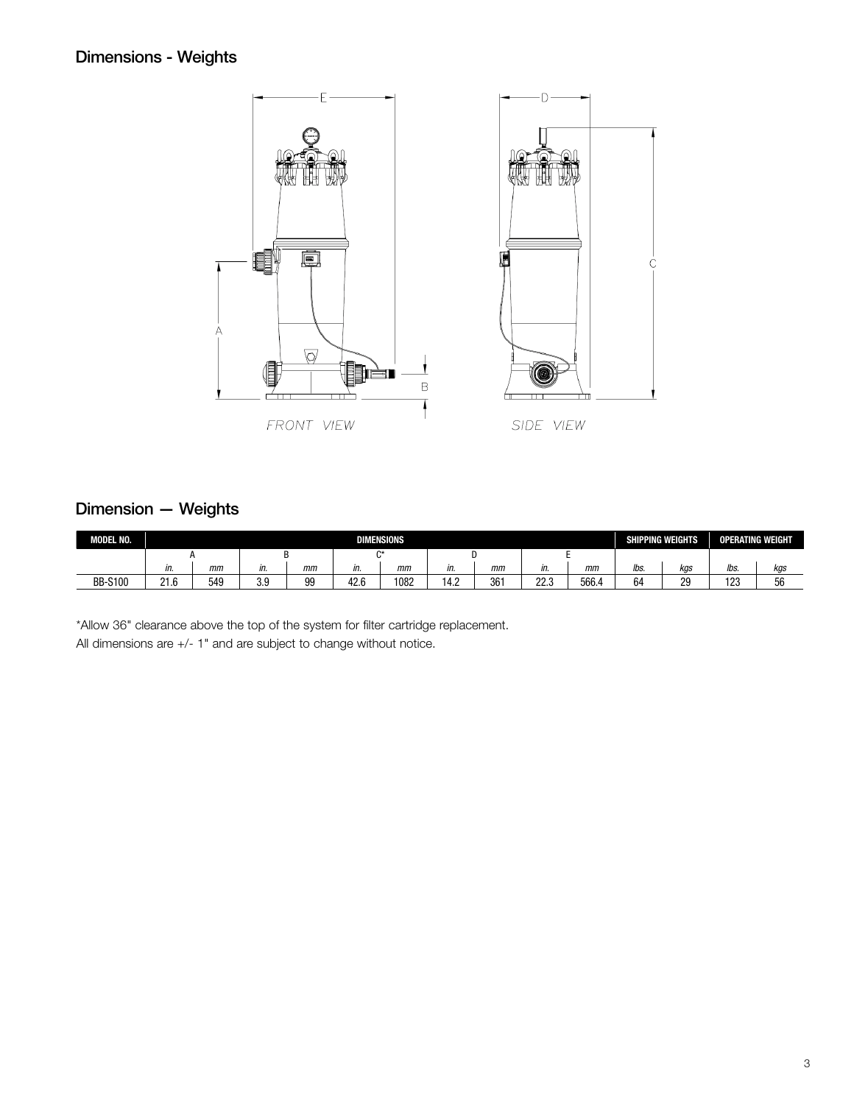## Dimensions - Weights



## Dimension — Weights

| MODEL NO.      |                       | <b>DIMENSIONS</b><br><b>SHIPPING WEIGHTS</b> |            |    |      |      |      |     |              | <b>OPERATING WEIGHT</b> |              |     |      |     |
|----------------|-----------------------|----------------------------------------------|------------|----|------|------|------|-----|--------------|-------------------------|--------------|-----|------|-----|
|                | $^{\sim}$             |                                              |            |    |      |      |      |     |              |                         |              |     |      |     |
|                | ın.                   | mm                                           | in.        | mm | in.  | mm   | in.  | mm  | IN.          | mm                      | lbs.         | kgs | lbs. | kgs |
| <b>BB-S100</b> | $\sim$ $\sim$<br>21.0 | 549                                          | 2 Q<br>v.v | 99 | 42.6 | 1082 | 14.2 | 361 | ר רר<br>22.J | 566.4                   | $\sim$<br>64 | 29  | 123  | 56  |

\*Allow 36" clearance above the top of the system for filter cartridge replacement. All dimensions are +/- 1" and are subject to change without notice.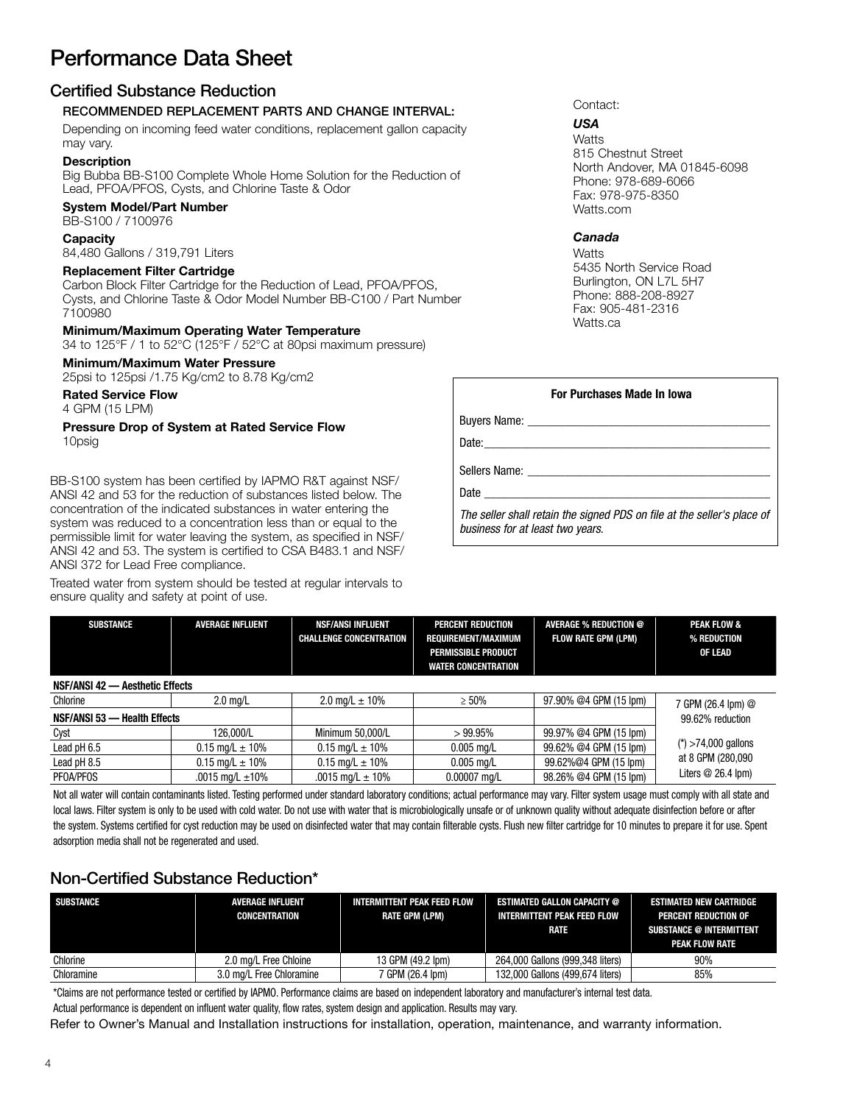## Performance Data Sheet

### Certified Substance Reduction

#### RECOMMENDED REPLACEMENT PARTS AND CHANGE INTERVAL:

Depending on incoming feed water conditions, replacement gallon capacity may vary.

#### **Description**

Big Bubba BB-S100 Complete Whole Home Solution for the Reduction of Lead, PFOA/PFOS, Cysts, and Chlorine Taste & Odor

### System Model/Part Number

BB-S100 / 7100976

#### **Capacity**

84,480 Gallons / 319,791 Liters

#### Replacement Filter Cartridge

Carbon Block Filter Cartridge for the Reduction of Lead, PFOA/PFOS, Cysts, and Chlorine Taste & Odor Model Number BB-C100 / Part Number 7100980

#### Minimum/Maximum Operating Water Temperature

34 to 125°F / 1 to 52°C (125°F / 52°C at 80psi maximum pressure)

#### Minimum/Maximum Water Pressure

25psi to 125psi /1.75 Kg/cm2 to 8.78 Kg/cm2

Rated Service Flow

4 GPM (15 LPM)

#### Pressure Drop of System at Rated Service Flow 10psig

BB-S100 system has been certified by IAPMO R&T against NSF/ ANSI 42 and 53 for the reduction of substances listed below. The concentration of the indicated substances in water entering the system was reduced to a concentration less than or equal to the permissible limit for water leaving the system, as specified in NSF/ ANSI 42 and 53. The system is certified to CSA B483.1 and NSF/ ANSI 372 for Lead Free compliance.

Treated water from system should be tested at regular intervals to ensure quality and safety at point of use.

#### Contact:

#### *USA*

**Watts** 815 Chestnut Street North Andover, MA 01845-6098 Phone: 978-689-6066 Fax: 978-975-8350 Watts.com

#### *Canada*

**Watts** 5435 North Service Road Burlington, ON L7L 5H7 Phone: 888-208-8927 Fax: 905-481-2316 Watts.ca

| <b>For Purchases Made In Iowa</b>                                                                                                                                                                                              |
|--------------------------------------------------------------------------------------------------------------------------------------------------------------------------------------------------------------------------------|
| Buyers Name: Name: Name: Name: Name: Name: Name: Name: Name: Name: Name: Name: Name: Name: Name: Name: Name: N                                                                                                                 |
|                                                                                                                                                                                                                                |
| Sellers Name: The Sellers of the Sellers Name:                                                                                                                                                                                 |
| Date and the contract of the contract of the contract of the contract of the contract of the contract of the contract of the contract of the contract of the contract of the contract of the contract of the contract of the c |
| The seller shall retain the signed PDS on file at the seller's place of<br>business for at least two years.                                                                                                                    |

| <b>AVERAGE INFLUENT</b><br><b>SUBSTANCE</b> |                              | <b>NSF/ANSI INFLUENT</b><br><b>CHALLENGE CONCENTRATION</b> | <b>PERCENT REDUCTION</b><br>REQUIREMENT/MAXIMUM<br><b>PERMISSIBLE PRODUCT</b><br><b>WATER CONCENTRATION</b> | <b>AVERAGE % REDUCTION @</b><br><b>FLOW RATE GPM (LPM)</b> | <b>PEAK FLOW &amp;</b><br>% REDUCTION<br>OF LEAD |
|---------------------------------------------|------------------------------|------------------------------------------------------------|-------------------------------------------------------------------------------------------------------------|------------------------------------------------------------|--------------------------------------------------|
| NSF/ANSI 42 - Aesthetic Effects             |                              |                                                            |                                                                                                             |                                                            |                                                  |
| Chlorine<br>$2.0 \text{ mg/L}$              |                              | 2.0 mg/L $\pm$ 10%                                         | $\geq 50\%$                                                                                                 | 97.90% @4 GPM (15 lpm)                                     | 7 GPM (26.4 lpm) @                               |
| NSF/ANSI 53 - Health Effects                |                              |                                                            |                                                                                                             |                                                            | 99.62% reduction                                 |
| 126.000/L<br>Cyst                           |                              | Minimum 50,000/L                                           | >99.95%                                                                                                     | 99.97% @4 GPM (15 lpm)                                     |                                                  |
| Lead pH 6.5<br>$0.15 \text{ mq/L} \pm 10\%$ |                              | $0.15 \text{ mq/L} \pm 10\%$                               | $0.005$ mg/L                                                                                                | 99.62% @4 GPM (15 lpm)                                     | $(*)$ >74,000 gallons                            |
| Lead pH 8.5                                 | $0.15 \text{ mq/L} \pm 10\%$ |                                                            | $0.005$ mg/L                                                                                                | 99.62%@4 GPM (15 lpm)                                      | at 8 GPM (280,090                                |
| <b>PFOA/PFOS</b>                            | .0015 mg/L $\pm$ 10%         | .0015 mg/L $\pm$ 10%                                       | $0.00007$ mg/L                                                                                              | 98.26% @4 GPM (15 lpm)                                     | Liters $@26.4$ lpm)                              |

Not all water will contain contaminants listed. Testing performed under standard laboratory conditions; actual performance may vary. Filter system usage must comply with all state and local laws. Filter system is only to be used with cold water. Do not use with water that is microbiologically unsafe or of unknown quality without adequate disinfection before or after the system. Systems certified for cyst reduction may be used on disinfected water that may contain filterable cysts. Flush new filter cartridge for 10 minutes to prepare it for use. Spent adsorption media shall not be regenerated and used.

## Non-Certified Substance Reduction\*

| <b>SUBSTANCE</b> | <b>AVERAGE INFLUENT</b><br>CONCENTRATION | <b>INTERMITTENT PEAK FEED FLOW</b><br>RATE GPM (LPM) | <b>ESTIMATED GALLON CAPACITY @</b><br>INTERMITTENT PEAK FEED FLOW<br>RATE | <b>ESTIMATED NEW CARTRIDGE</b><br>PERCENT REDUCTION OF<br><b>SUBSTANCE @ INTERMITTENT</b><br>PEAK FLOW RATE |
|------------------|------------------------------------------|------------------------------------------------------|---------------------------------------------------------------------------|-------------------------------------------------------------------------------------------------------------|
| Chlorine         | 2.0 mg/L Free Chloine                    | 13 GPM (49.2 lpm)                                    | 264,000 Gallons (999,348 liters)                                          | 90%                                                                                                         |
| Chloramine       | 3.0 mg/L Free Chloramine                 | 7 GPM (26.4 lpm)                                     | 132,000 Gallons (499,674 liters)                                          | 85%                                                                                                         |

\*Claims are not performance tested or certified by IAPMO. Performance claims are based on independent laboratory and manufacturer's internal test data.

Actual performance is dependent on influent water quality, flow rates, system design and application. Results may vary.

Refer to Owner's Manual and Installation instructions for installation, operation, maintenance, and warranty information.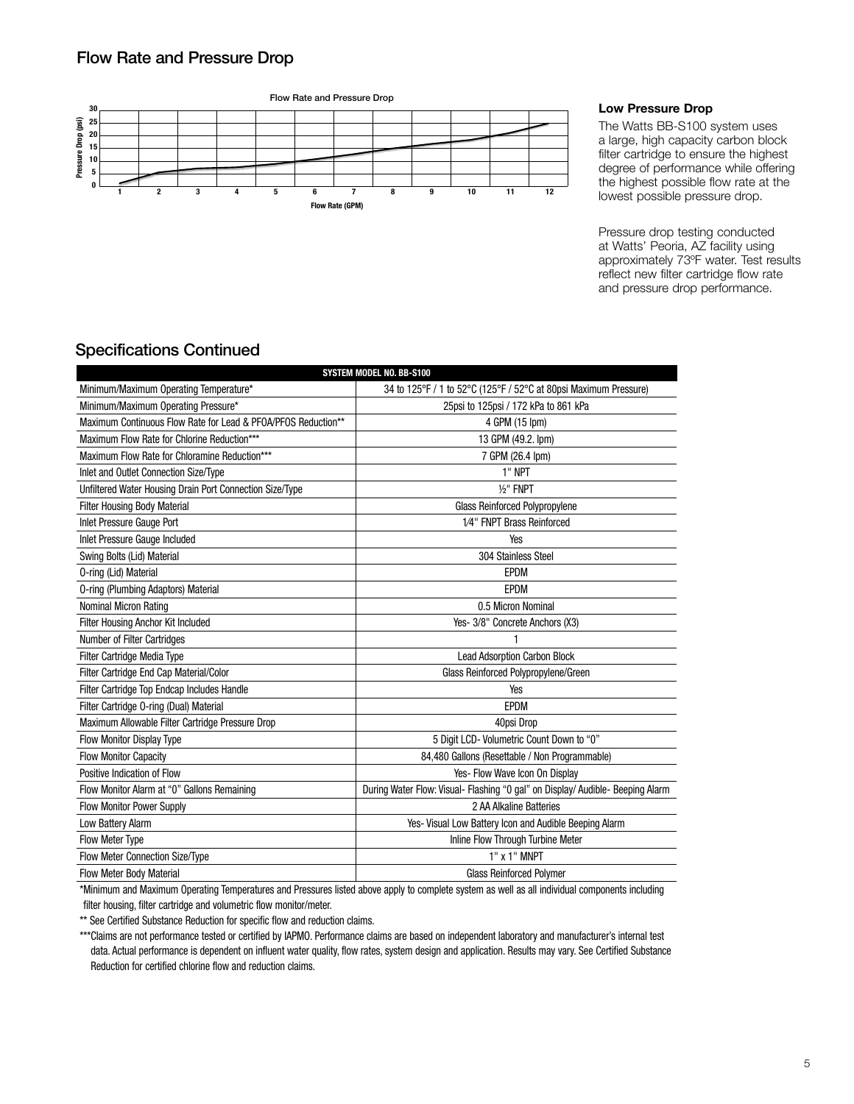### Flow Rate and Pressure Drop



#### Low Pressure Drop

The Watts BB-S100 system uses a large, high capacity carbon block filter cartridge to ensure the highest degree of performance while offering the highest possible flow rate at the lowest possible pressure drop.

Pressure drop testing conducted at Watts' Peoria, AZ facility using approximately 73ºF water. Test results reflect new filter cartridge flow rate and pressure drop performance.

## Specifications Continued

| SYSTEM MODEL NO. BB-S100                                      |                                                                                                                                                     |  |  |  |  |
|---------------------------------------------------------------|-----------------------------------------------------------------------------------------------------------------------------------------------------|--|--|--|--|
| Minimum/Maximum Operating Temperature*                        | 34 to 125°F / 1 to 52°C (125°F / 52°C at 80psi Maximum Pressure)                                                                                    |  |  |  |  |
| Minimum/Maximum Operating Pressure*                           | 25psi to 125psi / 172 kPa to 861 kPa                                                                                                                |  |  |  |  |
| Maximum Continuous Flow Rate for Lead & PFOA/PFOS Reduction** | 4 GPM (15 lpm)                                                                                                                                      |  |  |  |  |
| Maximum Flow Rate for Chlorine Reduction***                   | 13 GPM (49.2. lpm)                                                                                                                                  |  |  |  |  |
| Maximum Flow Rate for Chloramine Reduction***                 | 7 GPM (26.4 lpm)                                                                                                                                    |  |  |  |  |
| Inlet and Outlet Connection Size/Type                         | 1" NPT                                                                                                                                              |  |  |  |  |
| Unfiltered Water Housing Drain Port Connection Size/Type      | $1/2$ " FNPT                                                                                                                                        |  |  |  |  |
| <b>Filter Housing Body Material</b>                           | <b>Glass Reinforced Polypropylene</b>                                                                                                               |  |  |  |  |
| Inlet Pressure Gauge Port                                     | 1/4" FNPT Brass Reinforced                                                                                                                          |  |  |  |  |
| Inlet Pressure Gauge Included                                 | Yes                                                                                                                                                 |  |  |  |  |
| Swing Bolts (Lid) Material                                    | 304 Stainless Steel                                                                                                                                 |  |  |  |  |
| 0-ring (Lid) Material                                         | <b>EPDM</b>                                                                                                                                         |  |  |  |  |
| <b>0-ring (Plumbing Adaptors) Material</b>                    | <b>EPDM</b>                                                                                                                                         |  |  |  |  |
| Nominal Micron Rating                                         | 0.5 Micron Nominal                                                                                                                                  |  |  |  |  |
| Filter Housing Anchor Kit Included                            | Yes- 3/8" Concrete Anchors (X3)                                                                                                                     |  |  |  |  |
| <b>Number of Filter Cartridges</b>                            |                                                                                                                                                     |  |  |  |  |
| Filter Cartridge Media Type                                   | <b>Lead Adsorption Carbon Block</b>                                                                                                                 |  |  |  |  |
| Filter Cartridge End Cap Material/Color                       | Glass Reinforced Polypropylene/Green                                                                                                                |  |  |  |  |
| Filter Cartridge Top Endcap Includes Handle                   | Yes                                                                                                                                                 |  |  |  |  |
| Filter Cartridge O-ring (Dual) Material                       | <b>EPDM</b>                                                                                                                                         |  |  |  |  |
| Maximum Allowable Filter Cartridge Pressure Drop              | 40psi Drop                                                                                                                                          |  |  |  |  |
| Flow Monitor Display Type                                     | 5 Digit LCD- Volumetric Count Down to "0"                                                                                                           |  |  |  |  |
| <b>Flow Monitor Capacity</b>                                  | 84,480 Gallons (Resettable / Non Programmable)                                                                                                      |  |  |  |  |
| Positive Indication of Flow                                   | Yes- Flow Wave Icon On Display                                                                                                                      |  |  |  |  |
| Flow Monitor Alarm at "0" Gallons Remaining                   | During Water Flow: Visual- Flashing "0 gal" on Display/ Audible- Beeping Alarm                                                                      |  |  |  |  |
| <b>Flow Monitor Power Supply</b>                              | 2 AA Alkaline Batteries                                                                                                                             |  |  |  |  |
| Low Battery Alarm                                             | Yes- Visual Low Battery Icon and Audible Beeping Alarm                                                                                              |  |  |  |  |
| <b>Flow Meter Type</b>                                        | Inline Flow Through Turbine Meter                                                                                                                   |  |  |  |  |
| Flow Meter Connection Size/Type                               | 1" x 1" MNPT                                                                                                                                        |  |  |  |  |
| Flow Meter Body Material                                      | <b>Glass Reinforced Polymer</b>                                                                                                                     |  |  |  |  |
|                                                               | the induction and Maximum Operating Temperatures and Dressures listed above combute semplets system as well as all individual companyonte including |  |  |  |  |

\*Minimum and Maximum Operating Temperatures and Pressures listed above apply to complete system as well as all individual components including filter housing, filter cartridge and volumetric flow monitor/meter.

\*\* See Certified Substance Reduction for specific flow and reduction claims.

\*\*\*Claims are not performance tested or certified by IAPMO. Performance claims are based on independent laboratory and manufacturer's internal test data. Actual performance is dependent on influent water quality, flow rates, system design and application. Results may vary. See Certified Substance Reduction for certified chlorine flow and reduction claims.